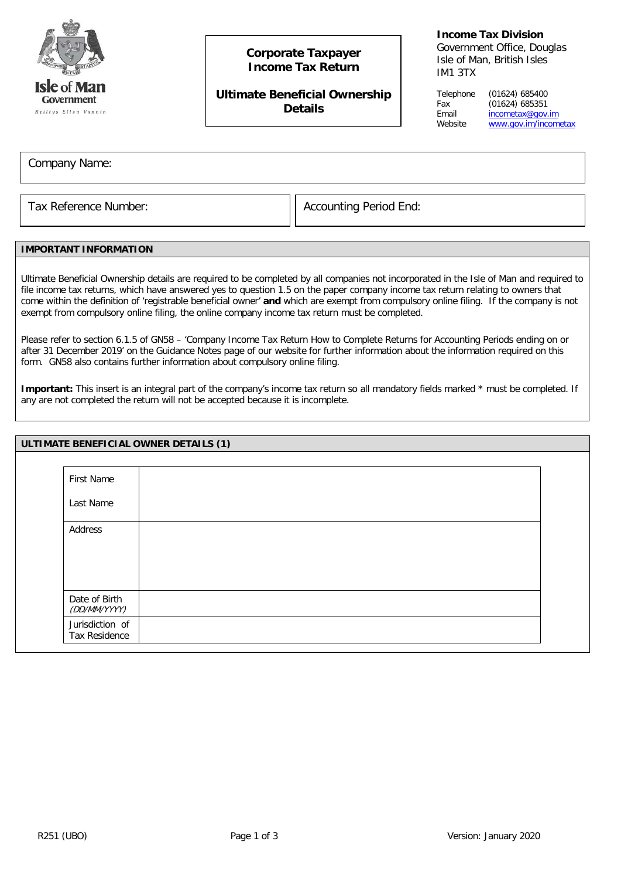

# **Corporate Taxpayer Income Tax Return**

## **Ultimate Beneficial Ownership Details**

### **Income Tax Division**

Government Office, Douglas Isle of Man, British Isles IM1 3TX

Telephone (01624) 685400 Fax (01624) 685351<br>Email incometax@gov. Email [incometax@gov.im](mailto:incometax@gov.im)<br>Website www.gov.im/incom [www.gov.im/incometax](http://www.gov.im/incometax)

Company Name:

Tax Reference Number:  $\vert\vert$  Accounting Period End:

### **IMPORTANT INFORMATION**

Ultimate Beneficial Ownership details are required to be completed by all companies not incorporated in the Isle of Man and required to file income tax returns, which have answered yes to question 1.5 on the paper company income tax return relating to owners that come within the definition of 'registrable beneficial owner' **and** which are exempt from compulsory online filing. If the company is not exempt from compulsory online filing, the online company income tax return must be completed.

Please refer to section 6.1.5 of GN58 – 'Company Income Tax Return How to Complete Returns for Accounting Periods ending on or after 31 December 2019' on the Guidance Notes page of our website for further information about the information required on this form. GN58 also contains further information about compulsory online filing.

**Important:** This insert is an integral part of the company's income tax return so all mandatory fields marked \* must be completed. If any are not completed the return will not be accepted because it is incomplete.

| ULTIMATE BENEFICIAL OWNER DETAILS (1) |                                  |  |  |
|---------------------------------------|----------------------------------|--|--|
|                                       |                                  |  |  |
|                                       | First Name                       |  |  |
|                                       | Last Name                        |  |  |
|                                       | Address                          |  |  |
|                                       |                                  |  |  |
|                                       |                                  |  |  |
|                                       | Date of Birth<br>(DD/MM/YYYY)    |  |  |
|                                       | Jurisdiction of<br>Tax Residence |  |  |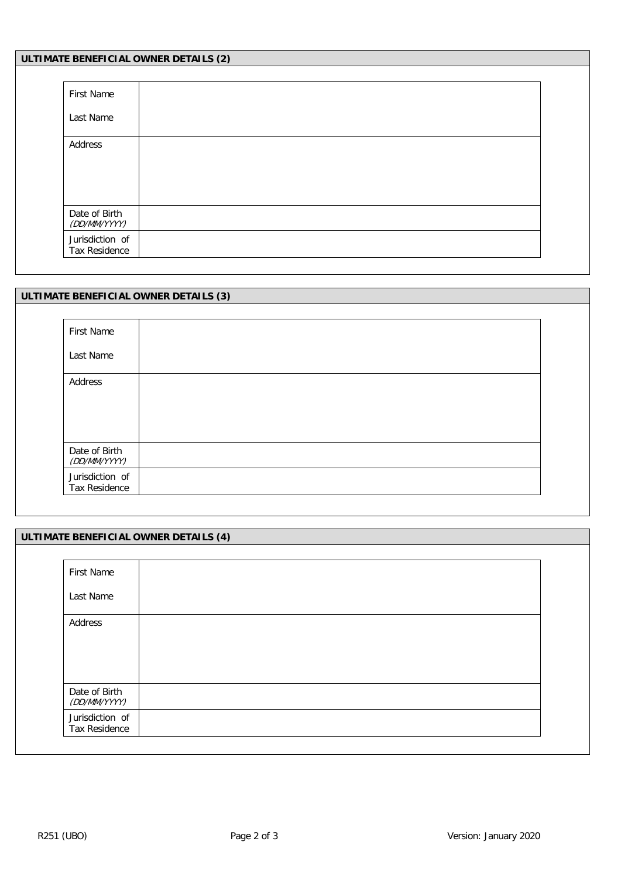| ULTIMATE BENEFICIAL OWNER DETAILS (2) |  |  |  |
|---------------------------------------|--|--|--|
|                                       |  |  |  |
| First Name                            |  |  |  |
| Last Name                             |  |  |  |
| Address                               |  |  |  |
| Date of Birth<br>(DD/MM/YYYY)         |  |  |  |
| Jurisdiction of<br>Tax Residence      |  |  |  |

|                                  | ULTIMATE BENEFICIAL OWNER DETAILS (3) |  |  |  |  |
|----------------------------------|---------------------------------------|--|--|--|--|
|                                  |                                       |  |  |  |  |
| First Name                       |                                       |  |  |  |  |
| Last Name                        |                                       |  |  |  |  |
| Address                          |                                       |  |  |  |  |
| Date of Birth<br>(DD/MM/YYYY)    |                                       |  |  |  |  |
| Jurisdiction of<br>Tax Residence |                                       |  |  |  |  |

| ULTIMATE BENEFICIAL OWNER DETAILS (4) |  |  |  |  |  |
|---------------------------------------|--|--|--|--|--|
|                                       |  |  |  |  |  |
| First Name                            |  |  |  |  |  |
| Last Name                             |  |  |  |  |  |
| Address                               |  |  |  |  |  |
|                                       |  |  |  |  |  |
| Date of Birth<br>(DD/MM/YYYY)         |  |  |  |  |  |
| Jurisdiction of<br>Tax Residence      |  |  |  |  |  |